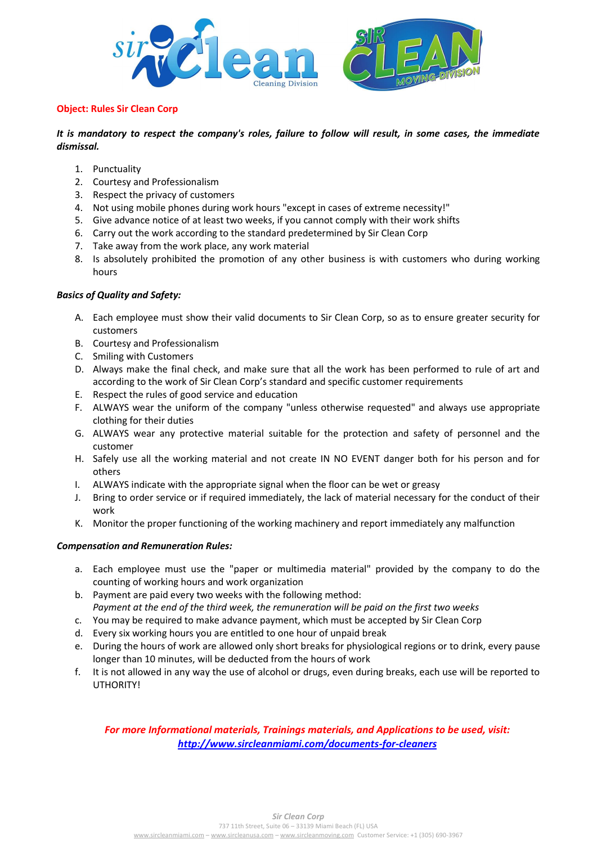

#### **Object: Rules Sir Clean Corp**

*It is mandatory to respect the company's roles, failure to follow will result, in some cases, the immediate dismissal.*

- 1. Punctuality
- 2. Courtesy and Professionalism
- 3. Respect the privacy of customers
- 4. Not using mobile phones during work hours "except in cases of extreme necessity!"
- 5. Give advance notice of at least two weeks, if you cannot comply with their work shifts
- 6. Carry out the work according to the standard predetermined by Sir Clean Corp
- 7. Take away from the work place, any work material
- 8. Is absolutely prohibited the promotion of any other business is with customers who during working hours

### *Basics of Quality and Safety:*

- A. Each employee must show their valid documents to Sir Clean Corp, so as to ensure greater security for customers
- B. Courtesy and Professionalism
- C. Smiling with Customers
- D. Always make the final check, and make sure that all the work has been performed to rule of art and according to the work of Sir Clean Corp's standard and specific customer requirements
- E. Respect the rules of good service and education
- F. ALWAYS wear the uniform of the company "unless otherwise requested" and always use appropriate clothing for their duties
- G. ALWAYS wear any protective material suitable for the protection and safety of personnel and the customer
- H. Safely use all the working material and not create IN NO EVENT danger both for his person and for others
- I. ALWAYS indicate with the appropriate signal when the floor can be wet or greasy
- J. Bring to order service or if required immediately, the lack of material necessary for the conduct of their work
- K. Monitor the proper functioning of the working machinery and report immediately any malfunction

### *Compensation and Remuneration Rules:*

- a. Each employee must use the "paper or multimedia material" provided by the company to do the counting of working hours and work organization
- b. Payment are paid every two weeks with the following method: *Payment at the end of the third week, the remuneration will be paid on the first two weeks*
- c. You may be required to make advance payment, which must be accepted by Sir Clean Corp
- d. Every six working hours you are entitled to one hour of unpaid break
- e. During the hours of work are allowed only short breaks for physiological regions or to drink, every pause longer than 10 minutes, will be deducted from the hours of work
- f. It is not allowed in any way the use of alcohol or drugs, even during breaks, each use will be reported to UTHORITY!

# *For more Informational materials, Trainings materials, and Applications to be used, visit: <http://www.sircleanmiami.com/documents-for-cleaners>*